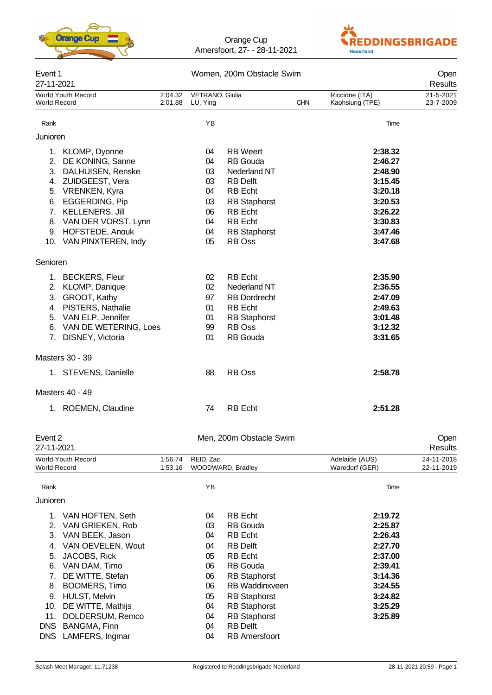



| Event 1<br>27-11-2021 |                                                                                                                                                                                |                    | Women, 200m Obstacle Swim                    | Open<br>Results                                                                                                                                    |            |                                                                                      |                        |
|-----------------------|--------------------------------------------------------------------------------------------------------------------------------------------------------------------------------|--------------------|----------------------------------------------|----------------------------------------------------------------------------------------------------------------------------------------------------|------------|--------------------------------------------------------------------------------------|------------------------|
| World Record          | World Youth Record                                                                                                                                                             | 2:04.32<br>2:01.88 | VETRANO, Giulia<br>LU, Ying                  |                                                                                                                                                    | <b>CHN</b> | Riccione (ITA)<br>Kaohsiung (TPE)                                                    | 21-5-2021<br>23-7-2009 |
| Rank                  |                                                                                                                                                                                |                    | YB                                           |                                                                                                                                                    |            | Time                                                                                 |                        |
| Junioren              |                                                                                                                                                                                |                    |                                              |                                                                                                                                                    |            |                                                                                      |                        |
|                       | 1. KLOMP, Dyonne<br>2. DE KONING, Sanne<br>3. DALHUISEN, Renske<br>4. ZUIDGEEST, Vera<br>5. VRENKEN, Kyra<br>6. EGGERDING, Pip<br>7. KELLENERS, Jill<br>8. VAN DER VORST, Lynn |                    | 04<br>04<br>03<br>03<br>04<br>03<br>06<br>04 | <b>RB</b> Weert<br><b>RB</b> Gouda<br>Nederland NT<br><b>RB Delft</b><br><b>RB</b> Echt<br><b>RB</b> Staphorst<br><b>RB</b> Echt<br><b>RB</b> Echt |            | 2:38.32<br>2:46.27<br>2:48.90<br>3:15.45<br>3:20.18<br>3:20.53<br>3:26.22<br>3:30.83 |                        |
|                       | 9. HOFSTEDE, Anouk<br>10. VAN PINXTEREN, Indy                                                                                                                                  |                    | 04<br>05                                     | <b>RB Staphorst</b><br>RB Oss                                                                                                                      |            | 3:47.46<br>3:47.68                                                                   |                        |
| Senioren              |                                                                                                                                                                                |                    |                                              |                                                                                                                                                    |            |                                                                                      |                        |
|                       | 1. BECKERS, Fleur<br>2. KLOMP, Danique<br>3. GROOT, Kathy<br>4. PISTERS, Nathalie<br>5. VAN ELP, Jennifer<br>6. VAN DE WETERING, Loes<br>7. DISNEY, Victoria                   |                    | 02<br>02<br>97<br>01<br>01<br>99<br>01       | <b>RB</b> Echt<br>Nederland NT<br><b>RB</b> Dordrecht<br><b>RB</b> Echt<br><b>RB</b> Staphorst<br><b>RB</b> Oss<br><b>RB</b> Gouda                 |            | 2:35.90<br>2:36.55<br>2:47.09<br>2:49.63<br>3:01.48<br>3:12.32<br>3:31.65            |                        |
|                       | Masters 30 - 39                                                                                                                                                                |                    |                                              |                                                                                                                                                    |            |                                                                                      |                        |
|                       | 1. STEVENS, Danielle                                                                                                                                                           |                    | 88                                           | <b>RB</b> Oss                                                                                                                                      |            | 2:58.78                                                                              |                        |
|                       | <b>Masters 40 - 49</b>                                                                                                                                                         |                    |                                              |                                                                                                                                                    |            |                                                                                      |                        |
|                       | 1. ROEMEN, Claudine                                                                                                                                                            |                    | 74                                           | <b>RB</b> Echt                                                                                                                                     |            | 2:51.28                                                                              |                        |
| Event 2<br>27-11-2021 |                                                                                                                                                                                |                    |                                              | Men, 200m Obstacle Swim                                                                                                                            |            |                                                                                      | Open<br>Results        |

| 27-11-2021   |                           |         |                   |                       |                | <b>Results</b> |
|--------------|---------------------------|---------|-------------------|-----------------------|----------------|----------------|
|              | <b>World Youth Record</b> | 1:56.74 | REID, Zac         |                       | Adelaide (AUS) | 24-11-2018     |
| World Record |                           | 1:53.16 | WOODWARD, Bradley |                       | Waredorf (GER) | 22-11-2019     |
| Rank         |                           |         | YB                |                       | Time           |                |
| Junioren     |                           |         |                   |                       |                |                |
|              | 1. VAN HOFTEN, Seth       |         | 04                | <b>RB</b> Echt        | 2:19.72        |                |
| 2.           | VAN GRIEKEN, Rob          |         | 03                | <b>RB</b> Gouda       | 2:25.87        |                |
| 3.           | VAN BEEK, Jason           |         | 04                | RB Echt               | 2:26.43        |                |
| 4.           | VAN OEVELEN, Wout         |         | 04                | <b>RB Delft</b>       | 2:27.70        |                |
| 5.           | JACOBS, Rick              |         | 05                | <b>RB</b> Echt        | 2:37.00        |                |
| 6.           | VAN DAM, Timo             |         | 06                | <b>RB</b> Gouda       | 2:39.41        |                |
|              | DE WITTE, Stefan          |         | 06                | <b>RB</b> Staphorst   | 3:14.36        |                |
| 8.           | <b>BOOMERS, Timo</b>      |         | 06                | <b>RB</b> Waddinxveen | 3:24.55        |                |
| 9.           | <b>HULST, Melvin</b>      |         | 05                | <b>RB</b> Staphorst   | 3:24.82        |                |
| 10.          | DE WITTE, Mathijs         |         | 04                | <b>RB</b> Staphorst   | 3:25.29        |                |
| 11.          | DOLDERSUM, Remco          |         | 04                | <b>RB</b> Staphorst   | 3:25.89        |                |
| DNS.         | BANGMA, Finn              |         | 04                | <b>RB</b> Delft       |                |                |
|              | DNS LAMFERS, Ingmar       |         | 04                | <b>RB</b> Amersfoort  |                |                |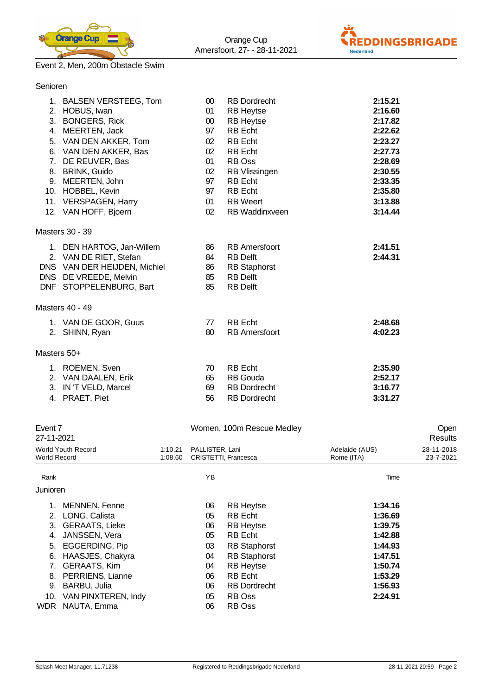

Senioren



# Event 2, Men, 200m Obstacle Swim

| 5.          | 1. BALSEN VERSTEEG, Tom<br>2. HOBUS, Iwan<br>3. BONGERS, Rick<br>4. MEERTEN, Jack<br>VAN DEN AKKER, Tom<br>6. VAN DEN AKKER, Bas<br>7. DE REUVER, Bas<br>8. BRINK, Guido<br>9. MEERTEN, John<br>10. HOBBEL, Kevin<br>11. VERSPAGEN, Harry | $00\,$<br>01<br>$00\,$<br>97<br>02<br>02<br>01<br>02<br>97<br>97<br>01 | <b>RB</b> Dordrecht<br><b>RB Heytse</b><br><b>RB Heytse</b><br><b>RB</b> Echt<br><b>RB</b> Echt<br><b>RB</b> Echt<br>RB Oss<br>RB Vlissingen<br><b>RB</b> Echt<br><b>RB</b> Echt<br><b>RB</b> Weert | 2:15.21<br>2:16.60<br>2:17.82<br>2:22.62<br>2:23.27<br>2:27.73<br>2:28.69<br>2:30.55<br>2:33.35<br>2:35.80<br>3:13.88 |
|-------------|-------------------------------------------------------------------------------------------------------------------------------------------------------------------------------------------------------------------------------------------|------------------------------------------------------------------------|-----------------------------------------------------------------------------------------------------------------------------------------------------------------------------------------------------|-----------------------------------------------------------------------------------------------------------------------|
|             | 12. VAN HOFF, Bjoern                                                                                                                                                                                                                      | 02                                                                     | <b>RB</b> Waddinxveen                                                                                                                                                                               | 3:14.44                                                                                                               |
|             | Masters 30 - 39                                                                                                                                                                                                                           |                                                                        |                                                                                                                                                                                                     |                                                                                                                       |
|             | 1. DEN HARTOG, Jan-Willem<br>2. VAN DE RIET, Stefan<br>DNS VAN DER HEIJDEN, Michiel<br>DNS DE VREEDE, Melvin<br>DNF STOPPELENBURG, Bart                                                                                                   | 86<br>84<br>86<br>85<br>85                                             | <b>RB</b> Amersfoort<br><b>RB Delft</b><br><b>RB Staphorst</b><br><b>RB Delft</b><br><b>RB Delft</b>                                                                                                | 2:41.51<br>2:44.31                                                                                                    |
|             | Masters 40 - 49                                                                                                                                                                                                                           |                                                                        |                                                                                                                                                                                                     |                                                                                                                       |
|             | 1. VAN DE GOOR, Guus<br>2. SHINN, Ryan                                                                                                                                                                                                    | 77<br>80                                                               | <b>RB</b> Echt<br><b>RB</b> Amersfoort                                                                                                                                                              | 2:48.68<br>4:02.23                                                                                                    |
| Masters 50+ |                                                                                                                                                                                                                                           |                                                                        |                                                                                                                                                                                                     |                                                                                                                       |
| 4.          | 1. ROEMEN, Sven<br>2. VAN DAALEN, Erik<br>3. IN 'T VELD, Marcel<br>PRAET, Piet                                                                                                                                                            | 70<br>65<br>69<br>56                                                   | <b>RB</b> Echt<br>RB Gouda<br><b>RB Dordrecht</b><br><b>RB</b> Dordrecht                                                                                                                            | 2:35.90<br>2:52.17<br>3:16.77<br>3:31.27                                                                              |

| Event 7<br>27-11-2021 |                       |         | Women, 100m Rescue Medley |                      |                |            |  |
|-----------------------|-----------------------|---------|---------------------------|----------------------|----------------|------------|--|
|                       | World Youth Record    | 1:10.21 | PALLISTER, Lani           |                      | Adelaide (AUS) | 28-11-2018 |  |
| <b>World Record</b>   |                       | 1:08.60 |                           | CRISTETTI, Francesca | Rome (ITA)     | 23-7-2021  |  |
| Rank                  |                       |         | YB                        |                      | Time           |            |  |
| Junioren              |                       |         |                           |                      |                |            |  |
|                       | <b>MENNEN, Fenne</b>  |         | 06                        | <b>RB Heytse</b>     | 1:34.16        |            |  |
| 2.                    | LONG, Calista         |         | 05                        | <b>RB</b> Echt       | 1:36.69        |            |  |
| 3.                    | <b>GERAATS, Lieke</b> |         | 06                        | <b>RB Heytse</b>     | 1:39.75        |            |  |
| 4.                    | JANSSEN, Vera         |         | 05                        | <b>RB</b> Echt       | 1:42.88        |            |  |
| 5.                    | EGGERDING, Pip        |         | 03                        | <b>RB</b> Staphorst  | 1:44.93        |            |  |
| 6.                    | HAASJES, Chakyra      |         | 04                        | <b>RB</b> Staphorst  | 1:47.51        |            |  |
| 7.                    | <b>GERAATS, Kim</b>   |         | 04                        | <b>RB Heytse</b>     | 1:50.74        |            |  |
| 8.                    | PERRIENS, Lianne      |         | 06                        | <b>RB</b> Echt       | 1:53.29        |            |  |
| 9.                    | BARBU, Julia          |         | 06                        | <b>RB</b> Dordrecht  | 1:56.93        |            |  |
| 10.                   | VAN PINXTEREN, Indy   |         | 05                        | RB Oss               | 2:24.91        |            |  |
| WDR.                  | NAUTA, Emma           |         | 06                        | RB Oss               |                |            |  |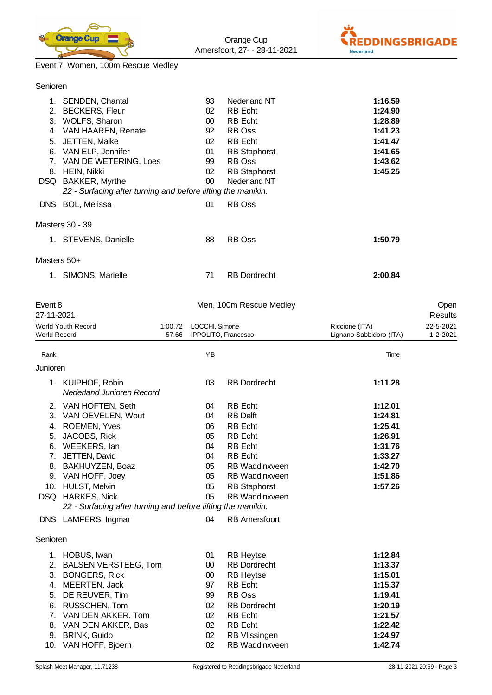



# Event 7, Women, 100m Rescue Medley

| Senioren              |                                                                                                                                                                                                                                                                                                  |                                                                  |                                                                                                                                                                                           |                                                                                                 |                       |
|-----------------------|--------------------------------------------------------------------------------------------------------------------------------------------------------------------------------------------------------------------------------------------------------------------------------------------------|------------------------------------------------------------------|-------------------------------------------------------------------------------------------------------------------------------------------------------------------------------------------|-------------------------------------------------------------------------------------------------|-----------------------|
|                       | 1. SENDEN, Chantal<br>2. BECKERS, Fleur<br>3. WOLFS, Sharon<br>4. VAN HAAREN, Renate<br>5. JETTEN, Maike<br>6. VAN ELP, Jennifer<br>7. VAN DE WETERING, Loes<br>8. HEIN, Nikki<br>DSQ BAKKER, Myrthe<br>22 - Surfacing after turning and before lifting the manikin.<br>DNS BOL, Melissa         | 93<br>02<br>$00\,$<br>92<br>02<br>01<br>99<br>02<br>$00\,$<br>01 | Nederland NT<br>RB Echt<br><b>RB</b> Echt<br><b>RB</b> Oss<br><b>RB</b> Echt<br><b>RB</b> Staphorst<br><b>RB</b> Oss<br><b>RB</b> Staphorst<br>Nederland NT<br><b>RB</b> Oss              | 1:16.59<br>1:24.90<br>1:28.89<br>1:41.23<br>1:41.47<br>1:41.65<br>1:43.62<br>1:45.25            |                       |
|                       | Masters 30 - 39                                                                                                                                                                                                                                                                                  |                                                                  |                                                                                                                                                                                           |                                                                                                 |                       |
|                       | 1. STEVENS, Danielle                                                                                                                                                                                                                                                                             | 88                                                               | <b>RB</b> Oss                                                                                                                                                                             | 1:50.79                                                                                         |                       |
| Masters 50+           |                                                                                                                                                                                                                                                                                                  |                                                                  |                                                                                                                                                                                           |                                                                                                 |                       |
|                       | 1. SIMONS, Marielle                                                                                                                                                                                                                                                                              | 71                                                               | <b>RB</b> Dordrecht                                                                                                                                                                       | 2:00.84                                                                                         |                       |
| Event 8<br>27-11-2021 |                                                                                                                                                                                                                                                                                                  |                                                                  | Men, 100m Rescue Medley                                                                                                                                                                   |                                                                                                 | Open<br>Results       |
| World Record          | World Youth Record                                                                                                                                                                                                                                                                               | LOCCHI, Simone<br>1:00.72<br>57.66                               | IPPOLITO, Francesco                                                                                                                                                                       | Riccione (ITA)<br>Lignano Sabbidoro (ITA)                                                       | 22-5-2021<br>1-2-2021 |
| Rank                  |                                                                                                                                                                                                                                                                                                  | YB                                                               |                                                                                                                                                                                           | Time                                                                                            |                       |
| Junioren              |                                                                                                                                                                                                                                                                                                  |                                                                  |                                                                                                                                                                                           |                                                                                                 |                       |
|                       | 1. KUIPHOF, Robin<br><b>Nederland Junioren Record</b>                                                                                                                                                                                                                                            | 03                                                               | <b>RB</b> Dordrecht                                                                                                                                                                       | 1:11.28                                                                                         |                       |
| 5.                    | 2. VAN HOFTEN, Seth<br>3. VAN OEVELEN, Wout<br>4. ROEMEN, Yves<br>JACOBS, Rick<br>6. WEEKERS, lan<br>7. JETTEN, David<br>8. BAKHUYZEN, Boaz<br>9. VAN HOFF, Joey<br>10. HULST, Melvin<br>DSQ HARKES, Nick<br>22 - Surfacing after turning and before lifting the manikin.<br>DNS LAMFERS, Ingmar | 04<br>04<br>06<br>05<br>04<br>04<br>05<br>05<br>05<br>05<br>04   | <b>RB</b> Echt<br><b>RB Delft</b><br>RB Echt<br><b>RB</b> Echt<br>RB Echt<br>RB Echt<br>RB Waddinxveen<br>RB Waddinxveen<br><b>RB</b> Staphorst<br>RB Waddinxveen<br><b>RB</b> Amersfoort | 1:12.01<br>1:24.81<br>1:25.41<br>1:26.91<br>1:31.76<br>1:33.27<br>1:42.70<br>1:51.86<br>1:57.26 |                       |
|                       |                                                                                                                                                                                                                                                                                                  |                                                                  |                                                                                                                                                                                           |                                                                                                 |                       |
| Senioren<br>5.        | 1. HOBUS, Iwan<br>2. BALSEN VERSTEEG, Tom<br>3. BONGERS, Rick<br>4. MEERTEN, Jack<br>DE REUVER, Tim<br>6. RUSSCHEN, Tom<br>7. VAN DEN AKKER, Tom<br>8. VAN DEN AKKER, Bas<br>9. BRINK, Guido                                                                                                     | 01<br>$00\,$<br>$00\,$<br>97<br>99<br>02<br>02<br>02<br>02       | <b>RB Heytse</b><br><b>RB</b> Dordrecht<br><b>RB Heytse</b><br><b>RB</b> Echt<br>RB Oss<br><b>RB Dordrecht</b><br><b>RB</b> Echt<br><b>RB</b> Echt<br><b>RB Vlissingen</b>                | 1:12.84<br>1:13.37<br>1:15.01<br>1:15.37<br>1:19.41<br>1:20.19<br>1:21.57<br>1:22.42<br>1:24.97 |                       |

10. VAN HOFF, Bjoern 02 RB Waddinxveen **1:42.74**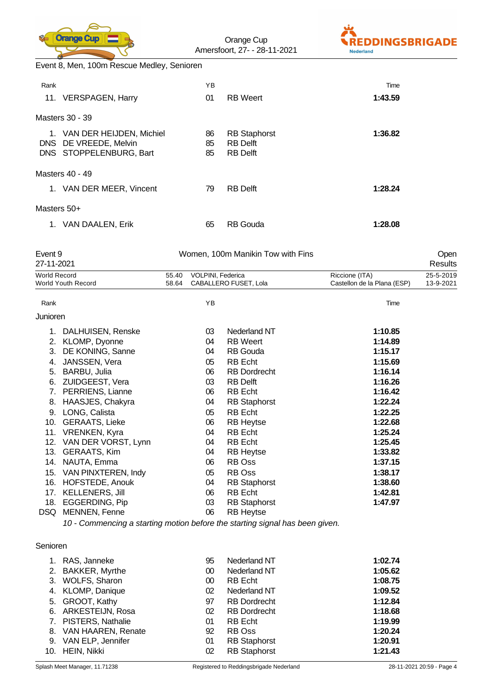

Orange Cup Amersfoort, 27- - 28-11-2021



Event 8, Men, 100m Rescue Medley, Senioren

| Rank        | 11. VERSPAGEN, Harry                                                         | ΥB<br>01       | <b>RB</b> Weert                                           | Time<br>1:43.59 |
|-------------|------------------------------------------------------------------------------|----------------|-----------------------------------------------------------|-----------------|
|             | Masters 30 - 39                                                              |                |                                                           |                 |
| 1.          | VAN DER HEIJDEN, Michiel<br>DNS DE VREEDE, Melvin<br>DNS STOPPELENBURG, Bart | 86<br>85<br>85 | <b>RB</b> Staphorst<br><b>RB</b> Delft<br><b>RB</b> Delft | 1:36.82         |
|             | Masters 40 - 49                                                              |                |                                                           |                 |
|             | 1. VAN DER MEER, Vincent                                                     | 79             | <b>RB</b> Delft                                           | 1:28.24         |
| Masters 50+ |                                                                              |                |                                                           |                 |
| 1.          | VAN DAALEN, Erik                                                             | 65             | <b>RB</b> Gouda                                           | 1:28.08         |

| Event 9<br>27-11-2021        |                           | Women, 100m Manikin Tow with Fins |    |                       |                             |           |  |
|------------------------------|---------------------------|-----------------------------------|----|-----------------------|-----------------------------|-----------|--|
| <b>World Record</b><br>55.40 |                           | VOLPINI, Federica                 |    | Riccione (ITA)        | 25-5-2019                   |           |  |
|                              | <b>World Youth Record</b> | 58.64                             |    | CABALLERO FUSET, Lola | Castellon de la Plana (ESP) | 13-9-2021 |  |
| Rank                         |                           |                                   | YB |                       | Time                        |           |  |
| Junioren                     |                           |                                   |    |                       |                             |           |  |
|                              | 1. DALHUISEN, Renske      |                                   | 03 | Nederland NT          | 1:10.85                     |           |  |
| 2.                           | KLOMP, Dyonne             |                                   | 04 | <b>RB</b> Weert       | 1:14.89                     |           |  |
| 3.                           | DE KONING, Sanne          |                                   | 04 | <b>RB</b> Gouda       | 1:15.17                     |           |  |
| 4.                           | JANSSEN, Vera             |                                   | 05 | <b>RB</b> Echt        | 1:15.69                     |           |  |
| 5.                           | BARBU, Julia              |                                   | 06 | <b>RB Dordrecht</b>   | 1:16.14                     |           |  |
| 6.                           | ZUIDGEEST, Vera           |                                   | 03 | <b>RB</b> Delft       | 1:16.26                     |           |  |
| 7.                           | PERRIENS, Lianne          |                                   | 06 | <b>RB</b> Echt        | 1:16.42                     |           |  |
| 8.                           | HAASJES, Chakyra          |                                   | 04 | <b>RB Staphorst</b>   | 1:22.24                     |           |  |
| 9.                           | LONG, Calista             |                                   | 05 | <b>RB</b> Echt        | 1:22.25                     |           |  |
| 10.                          | <b>GERAATS, Lieke</b>     |                                   | 06 | <b>RB Heytse</b>      | 1:22.68                     |           |  |
| 11.                          | VRENKEN, Kyra             |                                   | 04 | <b>RB</b> Echt        | 1:25.24                     |           |  |
| 12.                          | VAN DER VORST, Lynn       |                                   | 04 | <b>RB</b> Echt        | 1:25.45                     |           |  |
| 13.                          | <b>GERAATS, Kim</b>       |                                   | 04 | <b>RB Heytse</b>      | 1:33.82                     |           |  |
| 14.                          | NAUTA, Emma               |                                   | 06 | RB Oss                | 1:37.15                     |           |  |
| 15.                          | VAN PINXTEREN, Indy       |                                   | 05 | RB Oss                | 1:38.17                     |           |  |
| 16.                          | HOFSTEDE, Anouk           |                                   | 04 | <b>RB Staphorst</b>   | 1:38.60                     |           |  |
| 17.                          | <b>KELLENERS, Jill</b>    |                                   | 06 | RB Echt               | 1:42.81                     |           |  |
| 18.                          | EGGERDING, Pip            |                                   | 03 | <b>RB Staphorst</b>   | 1:47.97                     |           |  |
| DSQ.                         | MENNEN, Fenne             |                                   | 06 | <b>RB Heytse</b>      |                             |           |  |

*10 - Commencing a starting motion before the starting signal has been given.*

#### Senioren

| 1. RAS, Janneke       | 95 | Nederland NT        | 1:02.74 |
|-----------------------|----|---------------------|---------|
| 2. BAKKER, Myrthe     | 00 | <b>Nederland NT</b> | 1:05.62 |
| 3. WOLFS, Sharon      | 00 | <b>RB</b> Echt      | 1:08.75 |
| 4. KLOMP, Danique     | 02 | Nederland NT        | 1:09.52 |
| 5. GROOT, Kathy       | 97 | <b>RB</b> Dordrecht | 1:12.84 |
| 6. ARKESTEIJN, Rosa   | 02 | <b>RB</b> Dordrecht | 1:18.68 |
| 7. PISTERS, Nathalie  | 01 | <b>RB</b> Echt      | 1:19.99 |
| 8. VAN HAAREN, Renate | 92 | RB Oss              | 1:20.24 |
| 9. VAN ELP, Jennifer  | 01 | <b>RB</b> Staphorst | 1:20.91 |
| 10. HEIN, Nikki       | 02 | <b>RB</b> Staphorst | 1:21.43 |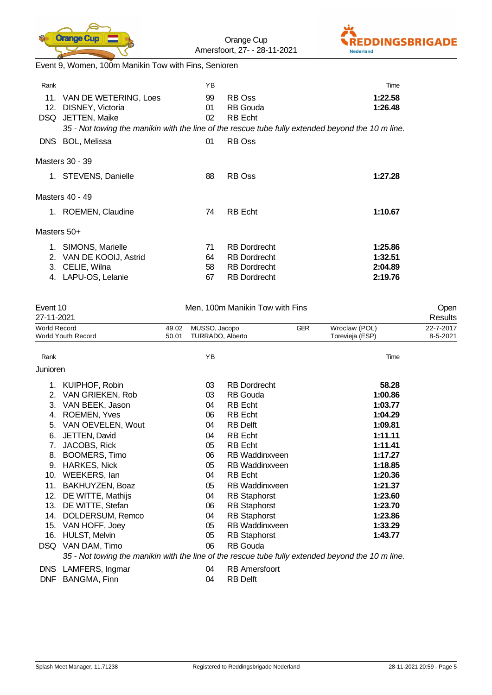

Orange Cup Amersfoort, 27- - 28-11-2021



Event 9, Women, 100m Manikin Tow with Fins, Senioren

| Rank        |                                                                       | ΥB             |                                                                                                   | Time               |
|-------------|-----------------------------------------------------------------------|----------------|---------------------------------------------------------------------------------------------------|--------------------|
| 12.<br>DSQ. | 11. VAN DE WETERING, Loes<br>DISNEY, Victoria<br><b>JETTEN, Maike</b> | 99<br>01<br>02 | RB Oss<br><b>RB</b> Gouda<br><b>RB</b> Echt                                                       | 1:22.58<br>1:26.48 |
|             |                                                                       |                | 35 - Not towing the manikin with the line of the rescue tube fully extended beyond the 10 m line. |                    |
| DNS .       | <b>BOL, Melissa</b>                                                   | 01             | <b>RB</b> Oss                                                                                     |                    |
|             | Masters 30 - 39                                                       |                |                                                                                                   |                    |
|             | 1. STEVENS, Danielle                                                  | 88             | RB Oss                                                                                            | 1:27.28            |
|             | Masters 40 - 49                                                       |                |                                                                                                   |                    |
|             | 1. ROEMEN, Claudine                                                   | 74             | <b>RB</b> Echt                                                                                    | 1:10.67            |
| Masters 50+ |                                                                       |                |                                                                                                   |                    |
|             | 1. SIMONS, Marielle                                                   | 71             | <b>RB</b> Dordrecht                                                                               | 1:25.86            |
| 2.          | VAN DE KOOIJ, Astrid                                                  | 64             | <b>RB</b> Dordrecht                                                                               | 1:32.51            |
| 3.          | CELIE, Wilna                                                          | 58             | <b>RB</b> Dordrecht                                                                               | 2:04.89            |
| 4.          | LAPU-OS, Lelanie                                                      | 67             | <b>RB</b> Dordrecht                                                                               | 2:19.76            |

| Event 10            |                                                                                                   | Men, 100m Manikin Tow with Fins |                                   |                       |            |                                  |                       |
|---------------------|---------------------------------------------------------------------------------------------------|---------------------------------|-----------------------------------|-----------------------|------------|----------------------------------|-----------------------|
| 27-11-2021          |                                                                                                   |                                 |                                   |                       | Results    |                                  |                       |
| <b>World Record</b> | <b>World Youth Record</b>                                                                         | 49.02<br>50.01                  | MUSSO, Jacopo<br>TURRADO, Alberto |                       | <b>GER</b> | Wroclaw (POL)<br>Torevieja (ESP) | 22-7-2017<br>8-5-2021 |
| Rank                |                                                                                                   |                                 | YB                                |                       |            | Time                             |                       |
| Junioren            |                                                                                                   |                                 |                                   |                       |            |                                  |                       |
|                     | 1. KUIPHOF, Robin                                                                                 |                                 | 03                                | <b>RB</b> Dordrecht   |            | 58.28                            |                       |
| 2.                  | VAN GRIEKEN, Rob                                                                                  |                                 | 03                                | <b>RB</b> Gouda       |            | 1:00.86                          |                       |
| 3.                  | VAN BEEK, Jason                                                                                   |                                 | 04                                | <b>RB</b> Echt        |            | 1:03.77                          |                       |
| 4.                  | <b>ROEMEN, Yves</b>                                                                               |                                 | 06                                | <b>RB</b> Echt        |            | 1:04.29                          |                       |
| 5.                  | VAN OEVELEN, Wout                                                                                 |                                 | 04                                | <b>RB</b> Delft       |            | 1:09.81                          |                       |
| 6.                  | JETTEN, David                                                                                     |                                 | 04                                | <b>RB</b> Echt        |            | 1:11.11                          |                       |
| 7.                  | JACOBS, Rick                                                                                      |                                 | 05                                | <b>RB</b> Echt        |            | 1:11.41                          |                       |
| 8.                  | <b>BOOMERS, Timo</b>                                                                              |                                 | 06                                | <b>RB</b> Waddinxveen |            | 1:17.27                          |                       |
| 9.                  | <b>HARKES, Nick</b>                                                                               |                                 | 05                                | <b>RB</b> Waddinxveen |            | 1:18.85                          |                       |
| 10.                 | WEEKERS, lan                                                                                      |                                 | 04                                | <b>RB</b> Echt        |            | 1:20.36                          |                       |
| 11.                 | BAKHUYZEN, Boaz                                                                                   |                                 | 05                                | <b>RB</b> Waddinxveen |            | 1:21.37                          |                       |
| 12.                 | DE WITTE, Mathijs                                                                                 |                                 | 04                                | <b>RB Staphorst</b>   |            | 1:23.60                          |                       |
| 13.                 | DE WITTE, Stefan                                                                                  |                                 | 06                                | <b>RB Staphorst</b>   |            | 1:23.70                          |                       |
| 14.                 | DOLDERSUM, Remco                                                                                  |                                 | 04                                | <b>RB Staphorst</b>   |            | 1:23.86                          |                       |
| 15.                 | VAN HOFF, Joey                                                                                    |                                 | 05                                | <b>RB</b> Waddinxveen |            | 1:33.29                          |                       |
| 16.                 | <b>HULST, Melvin</b>                                                                              |                                 | 05                                | <b>RB Staphorst</b>   |            | 1:43.77                          |                       |
| DSQ.                | VAN DAM, Timo                                                                                     |                                 | 06                                | <b>RB</b> Gouda       |            |                                  |                       |
|                     | 35 - Not towing the manikin with the line of the rescue tube fully extended beyond the 10 m line. |                                 |                                   |                       |            |                                  |                       |
|                     | DNS LAMFERS, Ingmar                                                                               |                                 | 04                                | <b>RB</b> Amersfoort  |            |                                  |                       |
| <b>DNF</b>          | BANGMA, Finn                                                                                      |                                 | 04                                | <b>RB Delft</b>       |            |                                  |                       |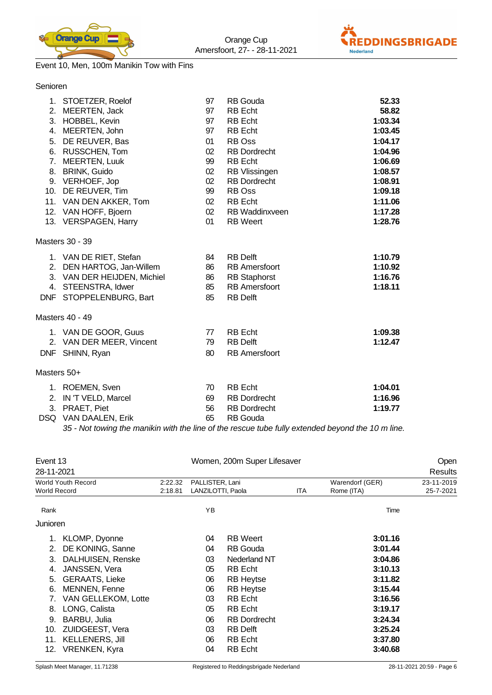



#### Event 10, Men, 100m Manikin Tow with Fins

| Senioren    |                             |                 |                       |         |
|-------------|-----------------------------|-----------------|-----------------------|---------|
|             | 1. STOETZER, Roelof         | 97              | <b>RB</b> Gouda       | 52.33   |
|             | 2. MEERTEN, Jack            | 97              | <b>RB</b> Echt        | 58.82   |
|             | 3. HOBBEL, Kevin            | 97              | <b>RB</b> Echt        | 1:03.34 |
|             | 4. MEERTEN, John            | 97              | <b>RB</b> Echt        | 1:03.45 |
|             | 5. DE REUVER, Bas           | 01              | RB Oss                | 1:04.17 |
|             | 6. RUSSCHEN, Tom            | 02              | <b>RB</b> Dordrecht   | 1:04.96 |
| 7.          | <b>MEERTEN, Luuk</b>        | 99              | <b>RB</b> Echt        | 1:06.69 |
| 8.          | <b>BRINK, Guido</b>         | 02              | RB Vlissingen         | 1:08.57 |
|             | 9. VERHOEF, Jop             | 02              | <b>RB</b> Dordrecht   | 1:08.91 |
|             | 10. DE REUVER, Tim          | 99              | RB Oss                | 1:09.18 |
|             | 11. VAN DEN AKKER, Tom      | 02              | <b>RB</b> Echt        | 1:11.06 |
|             | 12. VAN HOFF, Bjoern        | 02 <sub>2</sub> | <b>RB Waddinxveen</b> | 1:17.28 |
|             | 13. VERSPAGEN, Harry        | 01              | <b>RB</b> Weert       | 1:28.76 |
|             | Masters 30 - 39             |                 |                       |         |
|             | 1. VAN DE RIET, Stefan      | 84              | <b>RB Delft</b>       | 1:10.79 |
|             | 2. DEN HARTOG, Jan-Willem   | 86              | <b>RB</b> Amersfoort  | 1:10.92 |
|             | 3. VAN DER HEIJDEN, Michiel | 86              | <b>RB</b> Staphorst   | 1:16.76 |
|             | 4. STEENSTRA, Idwer         | 85              | <b>RB</b> Amersfoort  | 1:18.11 |
|             | DNF STOPPELENBURG, Bart     | 85              | <b>RB Delft</b>       |         |
|             | Masters 40 - 49             |                 |                       |         |
|             | 1. VAN DE GOOR, Guus        | 77              | <b>RB</b> Echt        | 1:09.38 |
|             | 2. VAN DER MEER, Vincent    | 79              | <b>RB</b> Delft       | 1:12.47 |
|             | DNF SHINN, Ryan             | 80              | <b>RB</b> Amersfoort  |         |
| Masters 50+ |                             |                 |                       |         |
|             | 1. ROEMEN, Sven             | 70              | <b>RB</b> Echt        | 1:04.01 |
| 2.          | IN 'T VELD, Marcel          | 69              | <b>RB</b> Dordrecht   | 1:16.96 |
| 3.          | PRAET, Piet                 | 56              | <b>RB Dordrecht</b>   | 1:19.77 |
|             |                             |                 |                       |         |

DSQ VAN DAALEN, Erik 65 RB Gouda *35 - Not towing the manikin with the line of the rescue tube fully extended beyond the 10 m line.*

| Event 13     |                           |         |                   | Women, 200m Super Lifesaver |            |                 |            |  |
|--------------|---------------------------|---------|-------------------|-----------------------------|------------|-----------------|------------|--|
| 28-11-2021   |                           |         |                   |                             |            | <b>Results</b>  |            |  |
|              | <b>World Youth Record</b> | 2:22.32 | PALLISTER, Lani   |                             |            | Warendorf (GER) | 23-11-2019 |  |
| World Record |                           | 2:18.81 | LANZILOTTI, Paola |                             | <b>ITA</b> | Rome (ITA)      | 25-7-2021  |  |
| Rank         |                           |         | ΥB                |                             |            | Time            |            |  |
| Junioren     |                           |         |                   |                             |            |                 |            |  |
|              | KLOMP, Dyonne             |         | 04                | <b>RB</b> Weert             |            | 3:01.16         |            |  |
| 2.           | DE KONING, Sanne          |         | 04                | <b>RB</b> Gouda             |            | 3:01.44         |            |  |
| 3.           | DALHUISEN, Renske         |         | 03                | Nederland NT                |            | 3:04.86         |            |  |
| 4.           | JANSSEN, Vera             |         | 05                | <b>RB</b> Echt              |            | 3:10.13         |            |  |
| 5.           | <b>GERAATS, Lieke</b>     |         | 06                | <b>RB Heytse</b>            |            | 3:11.82         |            |  |
| 6.           | <b>MENNEN, Fenne</b>      |         | 06                | <b>RB Heytse</b>            |            | 3:15.44         |            |  |
| 7.           | VAN GELLEKOM, Lotte       |         | 03                | RB Echt                     |            | 3:16.56         |            |  |
| 8.           | LONG, Calista             |         | 05                | <b>RB</b> Echt              |            | 3:19.17         |            |  |
| 9.           | BARBU, Julia              |         | 06                | <b>RB</b> Dordrecht         |            | 3:24.34         |            |  |
| 10.          | <b>ZUIDGEEST, Vera</b>    |         | 03                | <b>RB</b> Delft             |            | 3:25.24         |            |  |
| 11.          | <b>KELLENERS, Jill</b>    |         | 06                | <b>RB</b> Echt              |            | 3:37.80         |            |  |
| 12.          | <b>VRENKEN, Kyra</b>      |         | 04                | <b>RB</b> Echt              |            | 3:40.68         |            |  |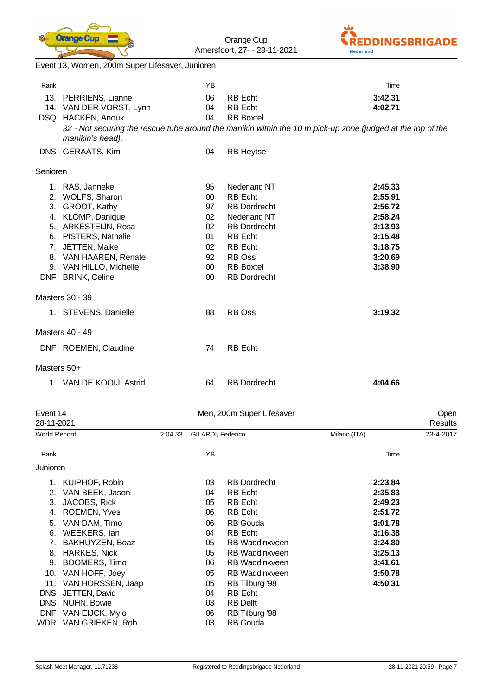

Orange Cup



Amersfoort, 27- - 28-11-2021 Event 13, Women, 200m Super Lifesaver, Junioren Rank **Time** and the contract of the Contract of the Contract of the Contract of the Contract of the Contract of the Contract of the Contract of the Contract of the Contract of the Contract of the Contract of the Contract o 13. PERRIENS, Lianne 06 RB Echt **3:42.31** 14. VAN DER VORST, Lynn 04 RB Echt **4:02.71** DSQ HACKEN, Anouk 04 RB Boxtel *32 - Not securing the rescue tube around the manikin within the 10 m pick-up zone (judged at the top of the manikin's head).* DNS GERAATS, Kim 04 RB Heytse Senioren 1. RAS, Janneke 95 Nederland NT **2:45.33** 2. WOLFS, Sharon 00 RB Echt **2:55.91** 3. GROOT, Kathy 97 RB Dordrecht **2:56.72** 4. KLOMP, Danique 02 Nederland NT **2:58.24** 5. ARKESTEIJN, Rosa 02 RB Dordrecht **3:13.93** 6. PISTERS, Nathalie 01 RB Echt **3:15.48** 7. JETTEN, Maike 02 RB Echt **3:18.75** 8. VAN HAAREN, Renate 92 RB Oss **3:20.69** 9. VAN HILLO, Michelle 00 RB Boxtel **3:38.90** DNF BRINK, Celine 00 RB Dordrecht Masters 30 - 39 1. STEVENS, Danielle 88 RB Oss **3:19.32** Masters 40 - 49 DNF ROEMEN, Claudine 74 RB Echt Masters 50+ 1. VAN DE KOOIJ, Astrid 64 RB Dordrecht **4:04.66** Event 14 Men, 200m Super Lifesaver Open 28-11-2021 Results World Record 2:04.33 GILARDI, Federico Milano (ITA) 23-4-2017 Rank **Rank** Time **The Community of the Community Community Proposal Community Proposal Community Community Community Community Community Community Community Community Community Community Community Community Community Commu** Junioren 1. KUIPHOF, Robin 03 RB Dordrecht **2:23.84** 2. VAN BEEK, Jason 04 RB Echt **2:35.83** 3. JACOBS, Rick 05 RB Echt **2:49.23** 4. ROEMEN, Yves 06 RB Echt **2:51.72** 5. VAN DAM, Timo 06 RB Gouda **3:01.78** 6. WEEKERS, Ian 04 RB Echt **3:16.38** 7. BAKHUYZEN, Boaz 05 RB Waddinxveen **3:24.80** 8. HARKES, Nick 05 RB Waddinxveen **3:25.13** 9. BOOMERS, Timo 06 RB Waddinxveen **3:41.61** 10. VAN HOFF, Joey 05 RB Waddinxveen **3:50.78** 11. VAN HORSSEN, Jaap 05 RB Tilburg '98 **4:50.31** DNS JETTEN, David 04 RB Echt DNS NUHN, Bowie 03 RB Delft

DNF VAN EIJCK, Mylo 06 RB Tilburg '98 WDR VAN GRIEKEN, Rob 03 RB Gouda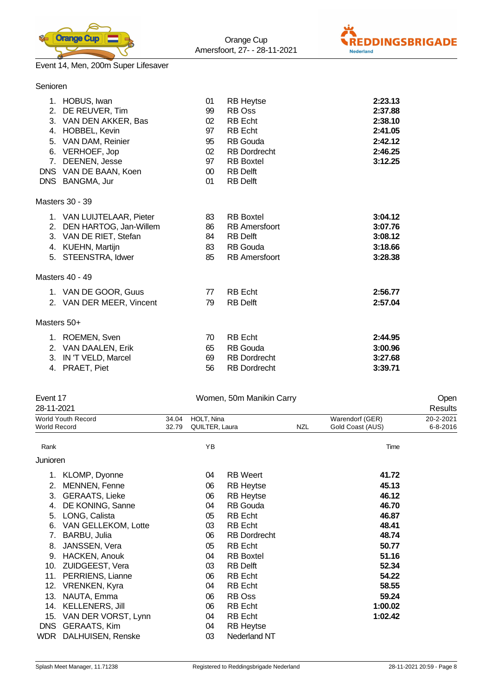



# Event 14, Men, 200m Super Lifesaver

| Senioren       |                                                                                                                                                                                         |                                                                                           |                                                                                                                                                                    |                                                                           |
|----------------|-----------------------------------------------------------------------------------------------------------------------------------------------------------------------------------------|-------------------------------------------------------------------------------------------|--------------------------------------------------------------------------------------------------------------------------------------------------------------------|---------------------------------------------------------------------------|
| 7 <sub>1</sub> | 1. HOBUS, Iwan<br>2. DE REUVER, Tim<br>3. VAN DEN AKKER, Bas<br>4. HOBBEL, Kevin<br>5. VAN DAM, Reinier<br>6. VERHOEF, Jop<br>DEENEN, Jesse<br>DNS VAN DE BAAN, Koen<br>DNS BANGMA, Jur | 01<br>99<br>02 <sup>2</sup><br>97<br>95<br>02 <sup>2</sup><br>97<br>00 <sup>°</sup><br>01 | <b>RB Heytse</b><br>RB Oss<br><b>RB</b> Echt<br><b>RB</b> Echt<br><b>RB</b> Gouda<br><b>RB</b> Dordrecht<br><b>RB</b> Boxtel<br><b>RB</b> Delft<br><b>RB</b> Delft | 2:23.13<br>2:37.88<br>2:38.10<br>2:41.05<br>2:42.12<br>2:46.25<br>3:12.25 |
|                | Masters 30 - 39                                                                                                                                                                         |                                                                                           |                                                                                                                                                                    |                                                                           |
|                | 1. VAN LUIJTELAAR, Pieter<br>2. DEN HARTOG, Jan-Willem<br>3. VAN DE RIET, Stefan<br>4. KUEHN, Martijn<br>5. STEENSTRA, Idwer                                                            | 83<br>86<br>84<br>83<br>85                                                                | <b>RB</b> Boxtel<br><b>RB</b> Amersfoort<br><b>RB</b> Delft<br><b>RB</b> Gouda<br><b>RB</b> Amersfoort                                                             | 3:04.12<br>3:07.76<br>3:08.12<br>3:18.66<br>3:28.38                       |
|                | Masters 40 - 49                                                                                                                                                                         |                                                                                           |                                                                                                                                                                    |                                                                           |
|                | 1. VAN DE GOOR, Guus<br>2. VAN DER MEER, Vincent                                                                                                                                        | 77<br>79                                                                                  | <b>RB</b> Echt<br><b>RB</b> Delft                                                                                                                                  | 2:56.77<br>2:57.04                                                        |
| Masters 50+    |                                                                                                                                                                                         |                                                                                           |                                                                                                                                                                    |                                                                           |
| 3.<br>4.       | 1. ROEMEN, Sven<br>2. VAN DAALEN, Erik<br>IN 'T VELD, Marcel<br>PRAET, Piet                                                                                                             | 70<br>65<br>69<br>56                                                                      | <b>RB</b> Echt<br><b>RB</b> Gouda<br><b>RB</b> Dordrecht<br><b>RB</b> Dordrecht                                                                                    | 2:44.95<br>3:00.96<br>3:27.68<br>3:39.71                                  |

| Event 17            |                           |       |                | Women, 50m Manikin Carry |            |                  | Open           |
|---------------------|---------------------------|-------|----------------|--------------------------|------------|------------------|----------------|
| 28-11-2021          |                           |       |                |                          |            |                  | <b>Results</b> |
|                     | <b>World Youth Record</b> | 34.04 | HOLT, Nina     |                          |            | Warendorf (GER)  | 20-2-2021      |
| <b>World Record</b> |                           | 32.79 | QUILTER, Laura |                          | <b>NZL</b> | Gold Coast (AUS) | $6 - 8 - 2016$ |
| Rank                |                           |       | YB             |                          |            | Time             |                |
| Junioren            |                           |       |                |                          |            |                  |                |
| 1.                  | KLOMP, Dyonne             |       | 04             | <b>RB</b> Weert          |            | 41.72            |                |
| 2.                  | MENNEN, Fenne             |       | 06             | <b>RB Heytse</b>         |            | 45.13            |                |
| 3.                  | <b>GERAATS, Lieke</b>     |       | 06             | <b>RB Heytse</b>         |            | 46.12            |                |
| 4.                  | DE KONING, Sanne          |       | 04             | RB Gouda                 |            | 46.70            |                |
| 5.                  | LONG, Calista             |       | 05             | <b>RB</b> Echt           |            | 46.87            |                |
| 6.                  | VAN GELLEKOM, Lotte       |       | 03             | <b>RB</b> Echt           |            | 48.41            |                |
| 7.                  | BARBU, Julia              |       | 06             | <b>RB</b> Dordrecht      |            | 48.74            |                |
| 8.                  | JANSSEN, Vera             |       | 05             | <b>RB</b> Echt           |            | 50.77            |                |
| 9.                  | HACKEN, Anouk             |       | 04             | <b>RB</b> Boxtel         |            | 51.16            |                |
| 10.                 | ZUIDGEEST, Vera           |       | 03             | <b>RB</b> Delft          |            | 52.34            |                |
| 11.                 | PERRIENS, Lianne          |       | 06             | <b>RB</b> Echt           |            | 54.22            |                |
| 12.                 | <b>VRENKEN, Kyra</b>      |       | 04             | <b>RB</b> Echt           |            | 58.55            |                |
| 13.                 | NAUTA, Emma               |       | 06             | RB Oss                   |            | 59.24            |                |
| 14.                 | KELLENERS, Jill           |       | 06             | <b>RB</b> Echt           |            | 1:00.02          |                |
| 15.                 | VAN DER VORST, Lynn       |       | 04             | <b>RB</b> Echt           |            | 1:02.42          |                |
| <b>DNS</b>          | <b>GERAATS, Kim</b>       |       | 04             | <b>RB Heytse</b>         |            |                  |                |
| WDR                 | DALHUISEN, Renske         |       | 03             | Nederland NT             |            |                  |                |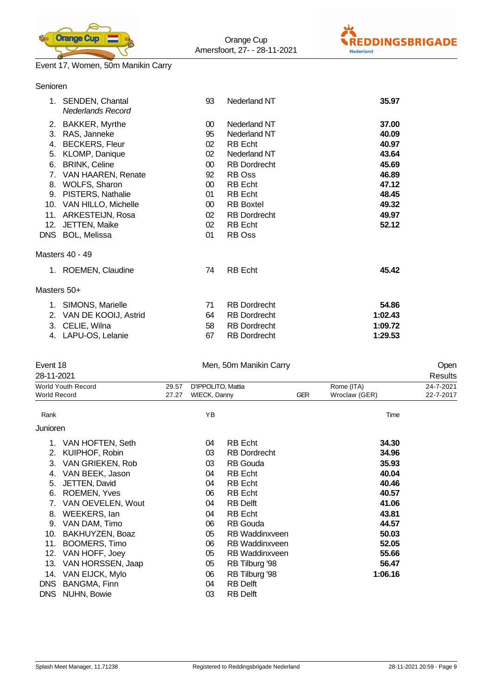



## Event 17, Women, 50m Manikin Carry

|             | 1. SENDEN, Chantal<br>Nederlands Record | 93              | Nederland NT        | 35.97   |
|-------------|-----------------------------------------|-----------------|---------------------|---------|
|             | 2. BAKKER, Myrthe                       | 00 <sup>°</sup> | Nederland NT        | 37.00   |
| 3.          | RAS, Janneke                            | 95              | Nederland NT        | 40.09   |
|             | 4. BECKERS, Fleur                       | 02              | RB Echt             | 40.97   |
| 5.          | KLOMP, Danique                          | 02              | Nederland NT        | 43.64   |
|             | 6. BRINK, Celine                        | $00\,$          | <b>RB Dordrecht</b> | 45.69   |
| 7.          | VAN HAAREN, Renate                      | 92              | RB Oss              | 46.89   |
|             | 8. WOLFS, Sharon                        | $00\,$          | RB Echt             | 47.12   |
| 9.          | PISTERS, Nathalie                       | 01              | RB Echt             | 48.45   |
|             | 10. VAN HILLO, Michelle                 | $00\,$          | <b>RB Boxtel</b>    | 49.32   |
| 11.         | ARKESTEIJN, Rosa                        | 02              | <b>RB Dordrecht</b> | 49.97   |
| 12.         | JETTEN, Maike                           | 02              | RB Echt             | 52.12   |
|             | DNS BOL, Melissa                        | 01              | RB Oss              |         |
|             | Masters 40 - 49                         |                 |                     |         |
|             | 1. ROEMEN, Claudine                     | 74              | <b>RB</b> Echt      | 45.42   |
| Masters 50+ |                                         |                 |                     |         |
|             | 1. SIMONS, Marielle                     | 71              | <b>RB</b> Dordrecht | 54.86   |
| 2.          | VAN DE KOOIJ, Astrid                    | 64              | <b>RB</b> Dordrecht | 1:02.43 |
| 3.          | CELIE, Wilna                            | 58              | <b>RB</b> Dordrecht | 1:09.72 |
|             | 4. LAPU-OS, Lelanie                     | 67              | <b>RB Dordrecht</b> | 1:29.53 |
|             |                                         |                 |                     |         |

| Event 18            |                     |       |                     | Men, 50m Manikin Carry |            |               | Open      |
|---------------------|---------------------|-------|---------------------|------------------------|------------|---------------|-----------|
| 28-11-2021          |                     |       |                     |                        |            |               | Results   |
|                     | World Youth Record  | 29.57 | D'IPPOLITO, Mattia  |                        |            | Rome (ITA)    | 24-7-2021 |
| <b>World Record</b> |                     | 27.27 | <b>WIECK, Danny</b> |                        | <b>GER</b> | Wroclaw (GER) | 22-7-2017 |
| Rank                |                     |       | YB                  |                        |            | Time          |           |
| Junioren            |                     |       |                     |                        |            |               |           |
|                     | 1. VAN HOFTEN, Seth |       | 04                  | <b>RB</b> Echt         |            | 34.30         |           |
| 2.                  | KUIPHOF, Robin      |       | 03                  | <b>RB</b> Dordrecht    |            | 34.96         |           |
| 3.                  | VAN GRIEKEN, Rob    |       | 03                  | <b>RB</b> Gouda        |            | 35.93         |           |
| 4.                  | VAN BEEK, Jason     |       | 04                  | RB Echt                |            | 40.04         |           |
| 5.                  | JETTEN, David       |       | 04                  | <b>RB</b> Echt         |            | 40.46         |           |
| 6.                  | ROEMEN, Yves        |       | 06                  | RB Echt                |            | 40.57         |           |
| 7.                  | VAN OEVELEN, Wout   |       | 04                  | RB Delft               |            | 41.06         |           |
| 8.                  | WEEKERS, lan        |       | 04                  | <b>RB</b> Echt         |            | 43.81         |           |
| 9.                  | VAN DAM, Timo       |       | 06                  | <b>RB</b> Gouda        |            | 44.57         |           |
| 10.                 | BAKHUYZEN, Boaz     |       | 05                  | <b>RB</b> Waddinxveen  |            | 50.03         |           |
| 11.                 | BOOMERS, Timo       |       | 06                  | <b>RB</b> Waddinxveen  |            | 52.05         |           |
| 12.                 | VAN HOFF, Joey      |       | 05                  | <b>RB</b> Waddinxveen  |            | 55.66         |           |
| 13.                 | VAN HORSSEN, Jaap   |       | 05                  | RB Tilburg '98         |            | 56.47         |           |
| 14.                 | VAN EIJCK, Mylo     |       | 06                  | RB Tilburg '98         |            | 1:06.16       |           |
| <b>DNS</b>          | BANGMA, Finn        |       | 04                  | <b>RB Delft</b>        |            |               |           |
| <b>DNS</b>          | NUHN, Bowie         |       | 03                  | <b>RB</b> Delft        |            |               |           |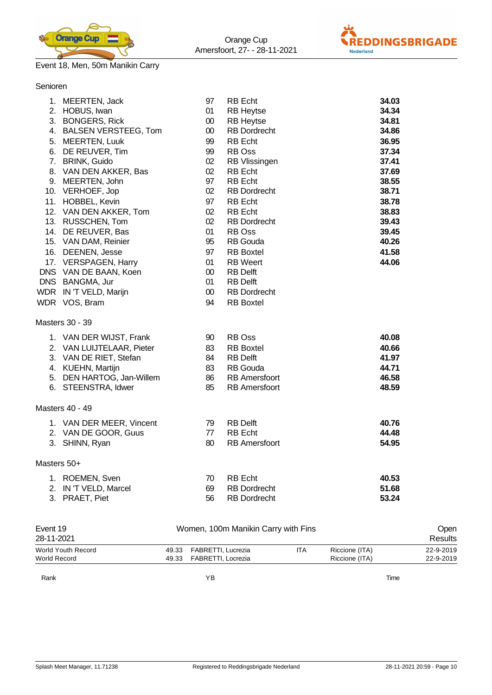



# Senioren

|             | 1. MEERTEN, Jack                                                                                                                 | 97                                   | <b>RB</b> Echt                                                                                                       | 34.03          |
|-------------|----------------------------------------------------------------------------------------------------------------------------------|--------------------------------------|----------------------------------------------------------------------------------------------------------------------|----------------|
|             | 2. HOBUS, Iwan                                                                                                                   | 01                                   | <b>RB Heytse</b>                                                                                                     | 34.34          |
|             | 3. BONGERS, Rick                                                                                                                 | 00                                   | <b>RB Heytse</b>                                                                                                     | 34.81          |
|             | 4. BALSEN VERSTEEG, Tom                                                                                                          | 00                                   | <b>RB Dordrecht</b>                                                                                                  | 34.86          |
|             | 5. MEERTEN, Luuk                                                                                                                 | 99                                   | <b>RB</b> Echt                                                                                                       | 36.95          |
|             | 6. DE REUVER, Tim                                                                                                                | 99                                   | RB Oss                                                                                                               | 37.34          |
|             | 7. BRINK, Guido                                                                                                                  | 02                                   | RB Vlissingen                                                                                                        | 37.41          |
|             | 8. VAN DEN AKKER, Bas                                                                                                            | 02                                   | <b>RB</b> Echt                                                                                                       | 37.69          |
|             | 9. MEERTEN, John                                                                                                                 | 97                                   | <b>RB</b> Echt                                                                                                       | 38.55          |
|             | 10. VERHOEF, Jop                                                                                                                 | 02                                   | <b>RB</b> Dordrecht                                                                                                  | 38.71          |
|             | 11. HOBBEL, Kevin                                                                                                                | 97                                   | <b>RB</b> Echt                                                                                                       | 38.78          |
|             | 12. VAN DEN AKKER, Tom                                                                                                           | 02                                   | <b>RB</b> Echt                                                                                                       | 38.83          |
|             | 13. RUSSCHEN, Tom                                                                                                                | 02                                   | <b>RB</b> Dordrecht                                                                                                  | 39.43          |
|             | 14. DE REUVER, Bas                                                                                                               | 01                                   | RB Oss                                                                                                               | 39.45          |
|             | 15. VAN DAM, Reinier                                                                                                             | 95                                   | <b>RB</b> Gouda                                                                                                      | 40.26          |
|             | 16. DEENEN, Jesse<br>17. VERSPAGEN, Harry<br>DNS VAN DE BAAN, Koen<br>DNS BANGMA, Jur<br>WDR IN 'T VELD, Marijn<br>WDR VOS, Bram | 97<br>01<br>00<br>01<br>$00\,$<br>94 | <b>RB</b> Boxtel<br><b>RB</b> Weert<br><b>RB</b> Delft<br><b>RB Delft</b><br><b>RB</b> Dordrecht<br><b>RB</b> Boxtel | 41.58<br>44.06 |
|             | Masters 30 - 39                                                                                                                  |                                      |                                                                                                                      |                |
|             | 1. VAN DER WIJST, Frank                                                                                                          | 90                                   | RB Oss                                                                                                               | 40.08          |
|             | 2. VAN LUIJTELAAR, Pieter                                                                                                        | 83                                   | <b>RB</b> Boxtel                                                                                                     | 40.66          |
|             | 3. VAN DE RIET, Stefan                                                                                                           | 84                                   | <b>RB</b> Delft                                                                                                      | 41.97          |
|             | 4. KUEHN, Martijn                                                                                                                | 83                                   | <b>RB</b> Gouda                                                                                                      | 44.71          |
|             | 5. DEN HARTOG, Jan-Willem                                                                                                        | 86                                   | <b>RB</b> Amersfoort                                                                                                 | 46.58          |
|             | 6. STEENSTRA, Idwer                                                                                                              | 85                                   | <b>RB</b> Amersfoort                                                                                                 | 48.59          |
|             | Masters 40 - 49                                                                                                                  |                                      |                                                                                                                      |                |
|             | 1. VAN DER MEER, Vincent                                                                                                         | 79                                   | <b>RB Delft</b>                                                                                                      | 40.76          |
|             | 2. VAN DE GOOR, Guus                                                                                                             | 77                                   | <b>RB</b> Echt                                                                                                       | 44.48          |
|             | 3. SHINN, Ryan                                                                                                                   | 80                                   | <b>RB</b> Amersfoort                                                                                                 | 54.95          |
| Masters 50+ |                                                                                                                                  |                                      |                                                                                                                      |                |
|             | 1. ROEMEN, Sven                                                                                                                  | 70                                   | <b>RB</b> Echt                                                                                                       | 40.53          |
|             | 2. IN 'T VELD, Marcel                                                                                                            | 69                                   | <b>RB Dordrecht</b>                                                                                                  | 51.68          |
|             | 3. PRAET, Piet                                                                                                                   | 56                                   | <b>RB</b> Dordrecht                                                                                                  | 53.24          |

| Event 19<br>Women, 100m Manikin Carry with Fins |       |                          |     |                | <b>Open</b> |  |
|-------------------------------------------------|-------|--------------------------|-----|----------------|-------------|--|
| 28-11-2021                                      |       |                          |     |                | Results     |  |
| World Youth Record                              | 49.33 | FABRETTI, Lucrezia       | ITA | Riccione (ITA) | 22-9-2019   |  |
| World Record                                    |       | 49.33 FABRETTI, Locrezia |     | Riccione (ITA) | 22-9-2019   |  |
| Rank                                            |       | ΥB                       |     | Time           |             |  |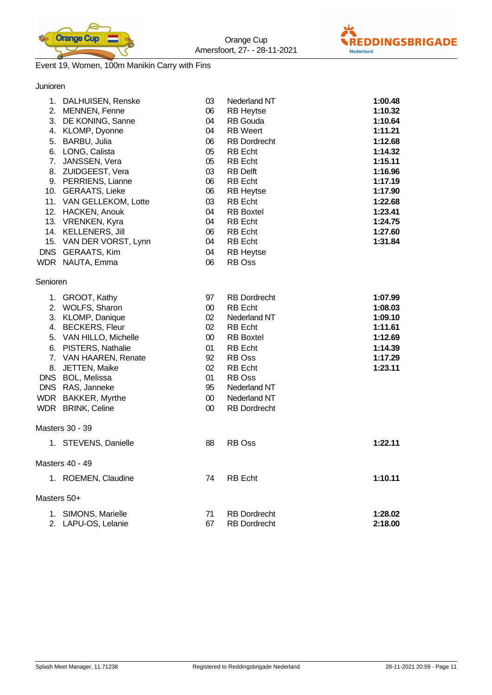



# Event 19, Women, 100m Manikin Carry with Fins

Junioren

|             | 1. DALHUISEN, Renske    | 03     | Nederland NT        | 1:00.48 |
|-------------|-------------------------|--------|---------------------|---------|
|             | 2. MENNEN, Fenne        | 06     | <b>RB Heytse</b>    | 1:10.32 |
|             | 3. DE KONING, Sanne     | 04     | RB Gouda            | 1:10.64 |
|             | 4. KLOMP, Dyonne        | 04     | <b>RB</b> Weert     | 1:11.21 |
|             | 5. BARBU, Julia         | 06     | <b>RB Dordrecht</b> | 1:12.68 |
|             | 6. LONG, Calista        | 05     | RB Echt             | 1:14.32 |
| 7.          | JANSSEN, Vera           | 05     | RB Echt             | 1:15.11 |
|             | 8. ZUIDGEEST, Vera      | 03     | RB Delft            | 1:16.96 |
|             | 9. PERRIENS, Lianne     | 06     | RB Echt             | 1:17.19 |
|             | 10. GERAATS, Lieke      | 06     | <b>RB Heytse</b>    | 1:17.90 |
|             | 11. VAN GELLEKOM, Lotte | 03     | <b>RB</b> Echt      | 1:22.68 |
|             | 12. HACKEN, Anouk       | 04     | <b>RB</b> Boxtel    | 1:23.41 |
|             | 13. VRENKEN, Kyra       | 04     | <b>RB</b> Echt      | 1:24.75 |
|             | 14. KELLENERS, Jill     | 06     | RB Echt             | 1:27.60 |
|             | 15. VAN DER VORST, Lynn | 04     | RB Echt             | 1:31.84 |
|             | DNS GERAATS, Kim        | 04     | <b>RB Heytse</b>    |         |
|             | WDR NAUTA, Emma         | 06     | RB Oss              |         |
| Senioren    |                         |        |                     |         |
|             | 1. GROOT, Kathy         | 97     | <b>RB</b> Dordrecht | 1:07.99 |
|             | 2. WOLFS, Sharon        | $00\,$ | <b>RB</b> Echt      | 1:08.03 |
|             | 3. KLOMP, Danique       | 02     | Nederland NT        | 1:09.10 |
|             | 4. BECKERS, Fleur       | 02     | <b>RB</b> Echt      | 1:11.61 |
|             | 5. VAN HILLO, Michelle  | $00\,$ | <b>RB</b> Boxtel    | 1:12.69 |
|             | 6. PISTERS, Nathalie    | 01     | RB Echt             | 1:14.39 |
|             | 7. VAN HAAREN, Renate   | 92     | RB Oss              | 1:17.29 |
|             | 8. JETTEN, Maike        | 02     | <b>RB</b> Echt      | 1:23.11 |
|             | DNS BOL, Melissa        | 01     | RB Oss              |         |
|             | DNS RAS, Janneke        | 95     | Nederland NT        |         |
|             | WDR BAKKER, Myrthe      | $00\,$ | Nederland NT        |         |
|             | WDR BRINK, Celine       | $00\,$ | <b>RB</b> Dordrecht |         |
|             | Masters 30 - 39         |        |                     |         |
|             | 1. STEVENS, Danielle    | 88     | RB Oss              | 1:22.11 |
|             |                         |        |                     |         |
|             | Masters 40 - 49         |        |                     |         |
|             | 1. ROEMEN, Claudine     | 74     | <b>RB</b> Echt      | 1:10.11 |
| Masters 50+ |                         |        |                     |         |
|             | 1. SIMONS, Marielle     | 71     | <b>RB</b> Dordrecht | 1:28.02 |
|             | 2. LAPU-OS, Lelanie     | 67     | <b>RB</b> Dordrecht | 2:18.00 |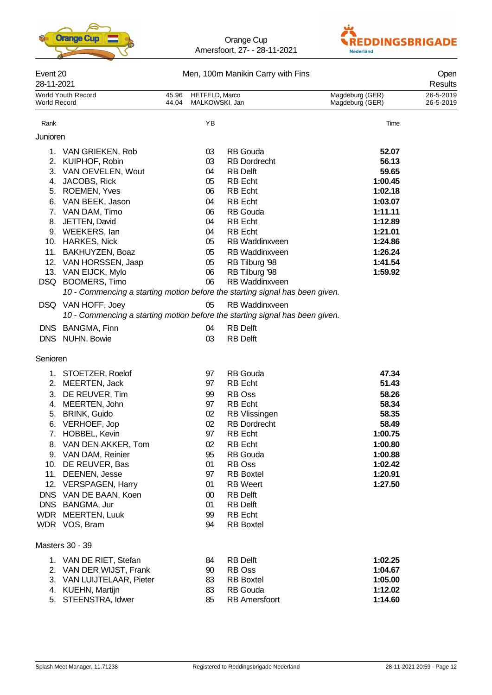



| Event 20<br>28-11-2021 |                                                                              |                |                                  | Men, 100m Manikin Carry with Fins |                                    | Open<br>Results        |
|------------------------|------------------------------------------------------------------------------|----------------|----------------------------------|-----------------------------------|------------------------------------|------------------------|
| World Record           | World Youth Record                                                           | 45.96<br>44.04 | HETFELD, Marco<br>MALKOWSKI, Jan |                                   | Magdeburg (GER)<br>Magdeburg (GER) | 26-5-2019<br>26-5-2019 |
| Rank                   |                                                                              |                | YB                               |                                   | Time                               |                        |
| Junioren               |                                                                              |                |                                  |                                   |                                    |                        |
|                        | 1. VAN GRIEKEN, Rob                                                          |                | 03                               | <b>RB</b> Gouda                   | 52.07                              |                        |
|                        | 2. KUIPHOF, Robin                                                            |                | 03                               | <b>RB</b> Dordrecht               | 56.13                              |                        |
|                        | 3. VAN OEVELEN, Wout                                                         |                | 04                               | <b>RB Delft</b>                   | 59.65                              |                        |
|                        | 4. JACOBS, Rick                                                              |                | 05                               | <b>RB</b> Echt                    | 1:00.45                            |                        |
|                        | 5. ROEMEN, Yves                                                              |                | 06                               | <b>RB</b> Echt                    | 1:02.18                            |                        |
|                        | 6. VAN BEEK, Jason                                                           |                | 04                               | <b>RB</b> Echt                    | 1:03.07                            |                        |
|                        | 7. VAN DAM, Timo                                                             |                | 06                               | <b>RB</b> Gouda                   | 1:11.11                            |                        |
|                        | 8. JETTEN, David                                                             |                | 04                               | <b>RB</b> Echt                    | 1:12.89                            |                        |
|                        | 9. WEEKERS, lan                                                              |                | 04                               | <b>RB</b> Echt                    | 1:21.01                            |                        |
|                        | 10. HARKES, Nick                                                             |                | 05                               | RB Waddinxveen                    | 1:24.86                            |                        |
|                        | 11. BAKHUYZEN, Boaz                                                          |                | 05                               | <b>RB Waddinxveen</b>             | 1:26.24                            |                        |
|                        | 12. VAN HORSSEN, Jaap                                                        |                | 05                               | RB Tilburg '98                    | 1:41.54                            |                        |
|                        | 13. VAN EIJCK, Mylo                                                          |                | 06                               | RB Tilburg '98                    | 1:59.92                            |                        |
|                        | DSQ BOOMERS, Timo                                                            |                | 06                               | RB Waddinxveen                    |                                    |                        |
|                        | 10 - Commencing a starting motion before the starting signal has been given. |                |                                  |                                   |                                    |                        |
|                        | DSQ VAN HOFF, Joey                                                           |                | 05                               | RB Waddinxveen                    |                                    |                        |
|                        | 10 - Commencing a starting motion before the starting signal has been given. |                |                                  |                                   |                                    |                        |
|                        |                                                                              |                | 04                               | <b>RB</b> Delft                   |                                    |                        |
|                        | DNS BANGMA, Finn                                                             |                |                                  |                                   |                                    |                        |
|                        | DNS NUHN, Bowie                                                              |                | 03                               | <b>RB Delft</b>                   |                                    |                        |
| Senioren               |                                                                              |                |                                  |                                   |                                    |                        |
|                        | 1. STOETZER, Roelof                                                          |                | 97                               | <b>RB</b> Gouda                   | 47.34                              |                        |
|                        | 2. MEERTEN, Jack                                                             |                | 97                               | <b>RB</b> Echt                    | 51.43                              |                        |
| 3.                     | DE REUVER, Tim                                                               |                | 99                               | RB Oss                            | 58.26                              |                        |
| 4.                     | MEERTEN, John                                                                |                | 97                               | <b>RB</b> Echt                    | 58.34                              |                        |
| 5.                     | <b>BRINK, Guido</b>                                                          |                | 02                               | <b>RB</b> Vlissingen              | 58.35                              |                        |
| 6.                     | VERHOEF, Jop                                                                 |                | 02                               | <b>RB</b> Dordrecht               | 58.49                              |                        |
|                        | 7. HOBBEL, Kevin                                                             |                | 97                               | RB Echt                           | 1:00.75                            |                        |
|                        | 8. VAN DEN AKKER, Tom                                                        |                | 02                               | <b>RB</b> Echt                    | 1:00.80                            |                        |
|                        | 9. VAN DAM, Reinier                                                          |                | 95                               | <b>RB</b> Gouda                   | 1:00.88                            |                        |
|                        | 10. DE REUVER, Bas                                                           |                | 01                               | RB Oss                            | 1:02.42                            |                        |
|                        | 11. DEENEN, Jesse                                                            |                | 97                               | <b>RB</b> Boxtel                  | 1:20.91                            |                        |
|                        | 12. VERSPAGEN, Harry                                                         |                | 01                               | <b>RB</b> Weert                   | 1:27.50                            |                        |
|                        | DNS VAN DE BAAN, Koen                                                        |                | 00                               | <b>RB Delft</b>                   |                                    |                        |
|                        | DNS BANGMA, Jur                                                              |                | 01                               | <b>RB Delft</b>                   |                                    |                        |
|                        | WDR MEERTEN, Luuk                                                            |                | 99                               | <b>RB</b> Echt                    |                                    |                        |
|                        | WDR VOS, Bram                                                                |                | 94                               | <b>RB</b> Boxtel                  |                                    |                        |
|                        | Masters 30 - 39                                                              |                |                                  |                                   |                                    |                        |
|                        | 1. VAN DE RIET, Stefan                                                       |                | 84                               | <b>RB Delft</b>                   | 1:02.25                            |                        |
|                        | 2. VAN DER WIJST, Frank                                                      |                | 90                               | RB Oss                            | 1:04.67                            |                        |
|                        | 3. VAN LUIJTELAAR, Pieter                                                    |                | 83                               | <b>RB</b> Boxtel                  | 1:05.00                            |                        |
|                        | 4. KUEHN, Martijn                                                            |                | 83                               | <b>RB</b> Gouda                   | 1:12.02                            |                        |
|                        | 5. STEENSTRA, Idwer                                                          |                | 85                               | <b>RB</b> Amersfoort              | 1:14.60                            |                        |